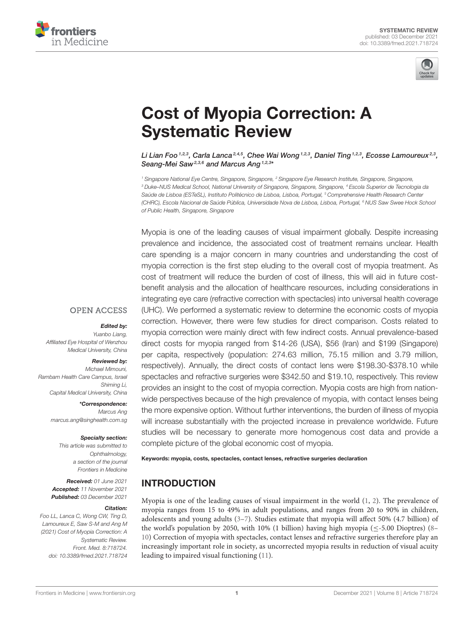



# [Cost of Myopia Correction: A](https://www.frontiersin.org/articles/10.3389/fmed.2021.718724/full) Systematic Review

Li Lian Foo $^{1,2,3}$ , Carla Lanca $^{2,4,5}$ , Chee Wai Wong $^{1,2,3}$ , Daniel Ting $^{1,2,3}$ , Ecosse Lamoureux $^{2,3}$ , Seang-Mei Saw<sup>2,3,6</sup> and Marcus Ang <sup>1,2,3\*</sup>

<sup>1</sup> Singapore National Eye Centre, Singapore, Singapore, <sup>2</sup> Singapore Eye Research Institute, Singapore, Singapore, <sup>3</sup> Duke–NUS Medical School, National University of Singapore, Singapore, Singapore, <sup>4</sup> Escola Superior de Tecnologia da Saúde de Lisboa (ESTeSL), Instituto Politécnico de Lisboa, Lisboa, Portugal, <sup>5</sup> Comprehensive Health Research Center (CHRC), Escola Nacional de Saúde Pública, Universidade Nova de Lisboa, Lisboa, Portugal, <sup>6</sup> NUS Saw Swee Hock School of Public Health, Singapore, Singapore

Myopia is one of the leading causes of visual impairment globally. Despite increasing prevalence and incidence, the associated cost of treatment remains unclear. Health care spending is a major concern in many countries and understanding the cost of myopia correction is the first step eluding to the overall cost of myopia treatment. As cost of treatment will reduce the burden of cost of illness, this will aid in future costbenefit analysis and the allocation of healthcare resources, including considerations in integrating eye care (refractive correction with spectacles) into universal health coverage (UHC). We performed a systematic review to determine the economic costs of myopia correction. However, there were few studies for direct comparison. Costs related to myopia correction were mainly direct with few indirect costs. Annual prevalence-based direct costs for myopia ranged from \$14-26 (USA), \$56 (Iran) and \$199 (Singapore) per capita, respectively (population: 274.63 million, 75.15 million and 3.79 million, respectively). Annually, the direct costs of contact lens were \$198.30-\$378.10 while spectacles and refractive surgeries were \$342.50 and \$19.10, respectively. This review provides an insight to the cost of myopia correction. Myopia costs are high from nationwide perspectives because of the high prevalence of myopia, with contact lenses being the more expensive option. Without further interventions, the burden of illness of myopia will increase substantially with the projected increase in prevalence worldwide. Future studies will be necessary to generate more homogenous cost data and provide a complete picture of the global economic cost of myopia.

Keywords: myopia, costs, spectacles, contact lenses, refractive surgeries declaration

# INTRODUCTION

Myopia is one of the leading causes of visual impairment in the world [\(1,](#page-7-0) [2\)](#page-7-1). The prevalence of myopia ranges from 15 to 49% in adult populations, and ranges from 20 to 90% in children, adolescents and young adults [\(3](#page-7-2)[–7\)](#page-7-3). Studies estimate that myopia will affect 50% (4.7 billion) of the world's population by 2050, with 10% (1 billion) having high myopia ( $\leq$ -5.00 Dioptres) [\(8–](#page-7-4) [10\)](#page-7-5) Correction of myopia with spectacles, contact lenses and refractive surgeries therefore play an increasingly important role in society, as uncorrected myopia results in reduction of visual acuity leading to impaired visual functioning [\(11\)](#page-7-6).

## **OPEN ACCESS**

#### Edited by:

Yuanbo Liang, Affiliated Eye Hospital of Wenzhou Medical University, China

#### Reviewed by:

Michael Mimouni, Rambam Health Care Campus, Israel Shiming Li, Capital Medical University, China

> \*Correspondence: Marcus Ang [marcus.ang@singhealth.com.sg](mailto:marcus.ang@singhealth.com.sg)

#### Specialty section:

This article was submitted to Ophthalmology, a section of the journal Frontiers in Medicine

Received: 01 June 2021 Accepted: 11 November 2021 Published: 03 December 2021

#### Citation:

Foo LL, Lanca C, Wong CW, Ting D, Lamoureux E, Saw S-M and Ang M (2021) Cost of Myopia Correction: A Systematic Review. Front. Med. 8:718724. doi: [10.3389/fmed.2021.718724](https://doi.org/10.3389/fmed.2021.718724)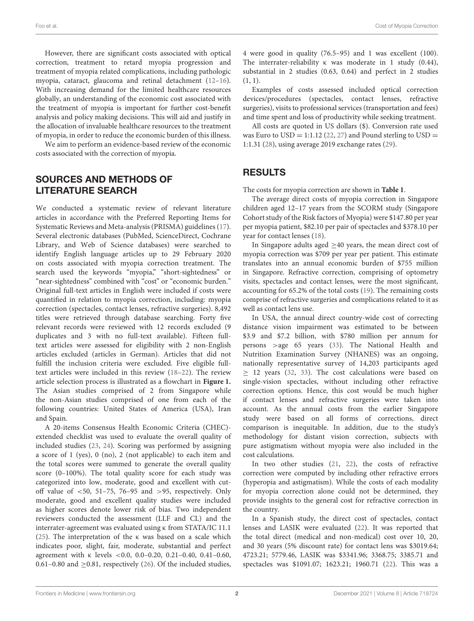However, there are significant costs associated with optical correction, treatment to retard myopia progression and treatment of myopia related complications, including pathologic myopia, cataract, glaucoma and retinal detachment [\(12–](#page-7-7)[16\)](#page-7-8). With increasing demand for the limited healthcare resources globally, an understanding of the economic cost associated with the treatment of myopia is important for further cost-benefit analysis and policy making decisions. This will aid and justify in the allocation of invaluable healthcare resources to the treatment of myopia, in order to reduce the economic burden of this illness.

We aim to perform an evidence-based review of the economic costs associated with the correction of myopia.

## SOURCES AND METHODS OF LITERATURE SEARCH

We conducted a systematic review of relevant literature articles in accordance with the Preferred Reporting Items for Systematic Reviews and Meta-analysis (PRISMA) guidelines [\(17\)](#page-7-9). Several electronic databases (PubMed, ScienceDirect, Cochrane Library, and Web of Science databases) were searched to identify English language articles up to 29 February 2020 on costs associated with myopia correction treatment. The search used the keywords "myopia," "short-sightedness" or "near-sightedness" combined with "cost" or "economic burden." Original full-text articles in English were included if costs were quantified in relation to myopia correction, including: myopia correction (spectacles, contact lenses, refractive surgeries). 8,492 titles were retrieved through database searching. Forty five relevant records were reviewed with 12 records excluded (9 duplicates and 3 with no full-text available). Fifteen fulltext articles were assessed for eligibility with 2 non-English articles excluded (articles in German). Articles that did not fulfill the inclusion criteria were excluded. Five eligible fulltext articles were included in this review [\(18](#page-7-10)[–22\)](#page-7-11). The review article selection process is illustrated as a flowchart in **[Figure 1.](#page-2-0)** The Asian studies comprised of 2 from Singapore while the non-Asian studies comprised of one from each of the following countries: United States of America (USA), Iran and Spain.

A 20-items Consensus Health Economic Criteria (CHEC) extended checklist was used to evaluate the overall quality of included studies [\(23,](#page-7-12) [24\)](#page-7-13). Scoring was performed by assigning a score of 1 (yes), 0 (no), 2 (not applicable) to each item and the total scores were summed to generate the overall quality score (0–100%). The total quality score for each study was categorized into low, moderate, good and excellent with cutoff value of  $<$  50, 51-75, 76-95 and >95, respectively. Only moderate, good and excellent quality studies were included as higher scores denote lower risk of bias. Two independent reviewers conducted the assessment (LLF and CL) and the interrater-agreement was evaluated using κ from STATA/IC 11.1 [\(25\)](#page-7-14). The interpretation of the κ was based on a scale which indicates poor, slight, fair, moderate, substantial and perfect agreement with κ levels <0.0, 0.0–0.20, 0.21–0.40, 0.41–0.60, 0.61–0.80 and  $\geq$ 0.81, respectively [\(26\)](#page-7-15). Of the included studies, 4 were good in quality (76.5–95) and 1 was excellent (100). The interrater-reliability κ was moderate in 1 study (0.44), substantial in 2 studies (0.63, 0.64) and perfect in 2 studies  $(1, 1)$ .

Examples of costs assessed included optical correction devices/procedures (spectacles, contact lenses, refractive surgeries), visits to professional services (transportation and fees) and time spent and loss of productivity while seeking treatment.

All costs are quoted in US dollars (\$). Conversion rate used was Euro to  $USD = 1:1.12$  [\(22,](#page-7-11) [27\)](#page-7-16) and Pound sterling to  $USD =$ 1:1.31 [\(28\)](#page-7-17), using average 2019 exchange rates [\(29\)](#page-7-18).

## RESULTS

The costs for myopia correction are shown in **[Table 1](#page-3-0)**.

The average direct costs of myopia correction in Singapore children aged 12–17 years from the SCORM study (Singapore Cohort study of the Risk factors of Myopia) were \$147.80 per year per myopia patient, \$82.10 per pair of spectacles and \$378.10 per year for contact lenses [\(18\)](#page-7-10).

In Singapore adults aged  $\geq$ 40 years, the mean direct cost of myopia correction was \$709 per year per patient. This estimate translates into an annual economic burden of \$755 million in Singapore. Refractive correction, comprising of optometry visits, spectacles and contact lenses, were the most significant, accounting for 65.2% of the total costs [\(19\)](#page-7-19). The remaining costs comprise of refractive surgeries and complications related to it as well as contact lens use.

In USA, the annual direct country-wide cost of correcting distance vision impairment was estimated to be between \$3.9 and \$7.2 billion, with \$780 million per annum for persons >age 65 years [\(33\)](#page-8-0). The National Health and Nutrition Examination Survey (NHANES) was an ongoing, nationally representative survey of 14,203 participants aged  $\geq$  12 years [\(32,](#page-7-20) [33\)](#page-8-0). The cost calculations were based on single-vision spectacles, without including other refractive correction options. Hence, this cost would be much higher if contact lenses and refractive surgeries were taken into account. As the annual costs from the earlier Singapore study were based on all forms of corrections, direct comparison is inequitable. In addition, due to the study's methodology for distant vision correction, subjects with pure astigmatism without myopia were also included in the cost calculations.

In two other studies [\(21,](#page-7-21) [22\)](#page-7-11), the costs of refractive correction were computed by including other refractive errors (hyperopia and astigmatism). While the costs of each modality for myopia correction alone could not be determined, they provide insights to the general cost for refractive correction in the country.

In a Spanish study, the direct cost of spectacles, contact lenses and LASIK were evaluated [\(22\)](#page-7-11). It was reported that the total direct (medical and non-medical) cost over 10, 20, and 30 years (5% discount rate) for contact lens was \$3019.64; 4723.21; 5779.46, LASIK was \$3341.96; 3368.75; 3385.71 and spectacles was \$1091.07; 1623.21; 1960.71 [\(22\)](#page-7-11). This was a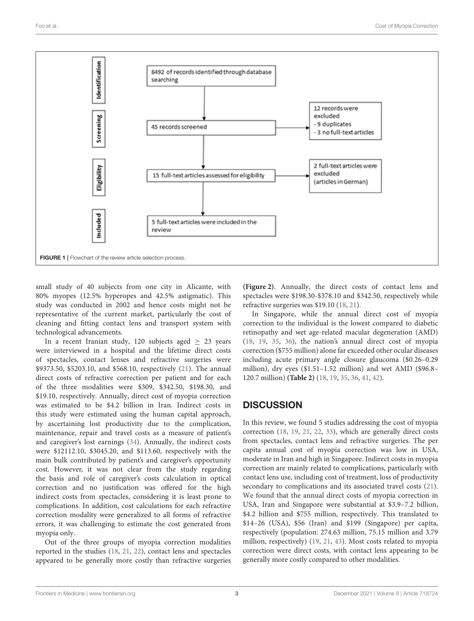

<span id="page-2-0"></span>small study of 40 subjects from one city in Alicante, with 80% myopes (12.5% hyperopes and 42.5% astigmatic). This study was conducted in 2002 and hence costs might not be representative of the current market, particularly the cost of cleaning and fitting contact lens and transport system with technological advancements.

In a recent Iranian study, 120 subjects aged  $\geq$  23 years were interviewed in a hospital and the lifetime direct costs of spectacles, contact lenses and refractive surgeries were \$9373.50, \$5203.10, and \$568.10, respectively [\(21\)](#page-7-21). The annual direct costs of refractive correction per patient and for each of the three modalities were \$309, \$342.50, \$198.30, and \$19.10, respectively. Annually, direct cost of myopia correction was estimated to be \$4.2 billion in Iran. Indirect costs in this study were estimated using the human capital approach, by ascertaining lost productivity due to the complication, maintenance, repair and travel costs as a measure of patient's and caregiver's lost earnings [\(34\)](#page-8-1). Annually, the indirect costs were \$12112.10, \$3045.20, and \$113.60, respectively with the main bulk contributed by patient's and caregiver's opportunity cost. However, it was not clear from the study regarding the basis and role of caregiver's costs calculation in optical correction and no justification was offered for the high indirect costs from spectacles, considering it is least prone to complications. In addition, cost calculations for each refractive correction modality were generalized to all forms of refractive errors, it was challenging to estimate the cost generated from myopia only.

Out of the three groups of myopia correction modalities reported in the studies [\(18,](#page-7-10) [21,](#page-7-21) [22\)](#page-7-11), contact lens and spectacles appeared to be generally more costly than refractive surgeries **[\(Figure 2\)](#page-5-0)**. Annually, the direct costs of contact lens and spectacles were \$198.30-\$378.10 and \$342.50, respectively while refractive surgeries was \$19.10 [\(18,](#page-7-10) [21\)](#page-7-21).

In Singapore, while the annual direct cost of myopia correction to the individual is the lowest compared to diabetic retinopathy and wet age-related macular degeneration (AMD) [\(18,](#page-7-10) [19,](#page-7-19) [35,](#page-8-2) [36\)](#page-8-3), the nation's annual direct cost of myopia correction (\$755 million) alone far exceeded other ocular diseases including acute primary angle closure glaucoma (\$0.26–0.29 million), dry eyes (\$1.51–1.52 million) and wet AMD (\$96.8– 120.7 million) **[\(Table 2\)](#page-5-1)** [\(18,](#page-7-10) [19,](#page-7-19) [35,](#page-8-2) [36,](#page-8-3) [41,](#page-8-4) [42\)](#page-8-5).

## **DISCUSSION**

In this review, we found 5 studies addressing the cost of myopia correction [\(18,](#page-7-10) [19,](#page-7-19) [21,](#page-7-21) [22,](#page-7-11) [33\)](#page-8-0), which are generally direct costs from spectacles, contact lens and refractive surgeries. The per capita annual cost of myopia correction was low in USA, moderate in Iran and high in Singapore. Indirect costs in myopia correction are mainly related to complications, particularly with contact lens use, including cost of treatment, loss of productivity secondary to complications and its associated travel costs [\(21\)](#page-7-21). We found that the annual direct costs of myopia correction in USA, Iran and Singapore were substantial at \$3.9–7.2 billion, \$4.2 billion and \$755 million, respectively. This translated to \$14–26 (USA), \$56 (Iran) and \$199 (Singapore) per capita, respectively (population: 274.63 million, 75.15 million and 3.79 million, respectively) [\(19,](#page-7-19) [21,](#page-7-21) [43\)](#page-8-6). Most costs related to myopia correction were direct costs, with contact lens appearing to be generally more costly compared to other modalities.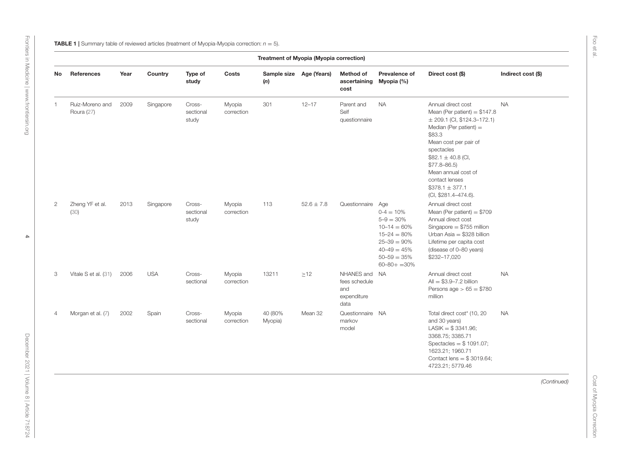<span id="page-3-0"></span>

|                | Treatment of Myopia (Myopia correction) |      |            |                              |                      |                                |                |                                                              |                                                                                                                                                          |                                                                                                                                                                                                                                                                                                       |                    |
|----------------|-----------------------------------------|------|------------|------------------------------|----------------------|--------------------------------|----------------|--------------------------------------------------------------|----------------------------------------------------------------------------------------------------------------------------------------------------------|-------------------------------------------------------------------------------------------------------------------------------------------------------------------------------------------------------------------------------------------------------------------------------------------------------|--------------------|
| No             | References                              | Year | Country    | Type of<br>study             | Costs                | Sample size Age (Years)<br>(n) |                | <b>Method of</b><br>ascertaining Myopia (%)<br>cost          | Prevalence of                                                                                                                                            | Direct cost (\$)                                                                                                                                                                                                                                                                                      | Indirect cost (\$) |
| 1              | Ruiz-Moreno and<br>Roura (27)           | 2009 | Singapore  | Cross-<br>sectional<br>study | Myopia<br>correction | 301                            | $12 - 17$      | Parent and<br>Self<br>questionnaire                          | <b>NA</b>                                                                                                                                                | Annual direct cost<br>Mean (Per patient) = $$147.8$<br>$\pm$ 209.1 (CI, \$124.3-172.1)<br>Median (Per patient) $=$<br>\$83.3<br>Mean cost per pair of<br>spectacles<br>$$82.1 \pm 40.8$ (Cl,<br>$$77.8 - 86.5$<br>Mean annual cost of<br>contact lenses<br>$$378.1 \pm 377.1$<br>(CI, \$281.4-474.6). | <b>NA</b>          |
| $\overline{2}$ | Zheng YF et al.<br>(30)                 | 2013 | Singapore  | Cross-<br>sectional<br>study | Myopia<br>correction | 113                            | $52.6 \pm 7.8$ | Questionnaire Age                                            | $0 - 4 = 10%$<br>$5 - 9 = 30\%$<br>$10 - 14 = 60\%$<br>$15 - 24 = 80\%$<br>$25 - 39 = 90\%$<br>$40 - 49 = 45\%$<br>$50 - 59 = 35%$<br>$60 - 80 + = 30\%$ | Annual direct cost<br>Mean (Per patient) = $$709$<br>Annual direct cost<br>Singapore $= $755$ million<br>Urban Asia = $$328$ billion<br>Lifetime per capita cost<br>(disease of 0-80 years)<br>\$232-17,020                                                                                           |                    |
| 3              | Vitale S et al. (31)                    | 2006 | <b>USA</b> | Cross-<br>sectional          | Myopia<br>correction | 13211                          | $\geq$ 12      | NHANES and NA<br>fees schedule<br>and<br>expenditure<br>data |                                                                                                                                                          | Annual direct cost<br>$All = $3.9 - 7.2$ billion<br>Persons age $> 65 = $780$<br>million                                                                                                                                                                                                              | <b>NA</b>          |
| $\overline{4}$ | Morgan et al. (7)                       | 2002 | Spain      | Cross-<br>sectional          | Myopia<br>correction | 40 (80%<br>Myopia)             | Mean 32        | Questionnaire NA<br>markov<br>model                          |                                                                                                                                                          | Total direct cost* (10, 20<br>and 30 years)<br>$LASIK = $3341.96;$<br>3368.75; 3385.71<br>Spectacles = $$1091.07;$<br>1623.21; 1960.71<br>Contact lens = $$3019.64;$<br>4723.21; 5779.46                                                                                                              | <b>NA</b>          |
|                |                                         |      |            |                              |                      |                                |                |                                                              |                                                                                                                                                          |                                                                                                                                                                                                                                                                                                       | (Continued)        |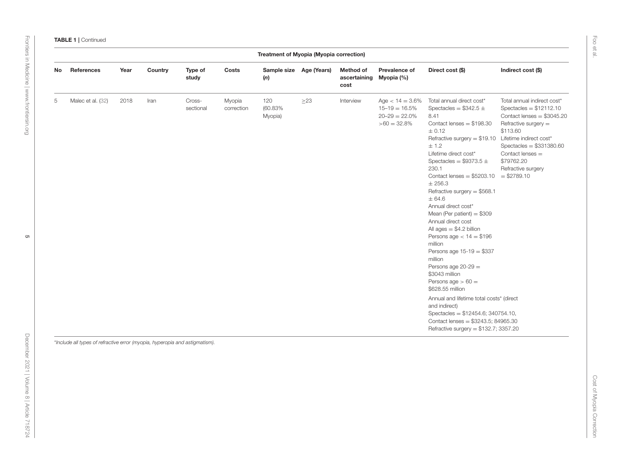|    |                                                                             |      |         |                     |                      | Treatment of Myopia (Myopia correction) |           |                                              |                                                                                  |                                                                                                                                                                                                                                                                                                                                                                                                                                                                                                                                                                                                                                                                                                                                                                                    |                                                                                                                                                                                                                                                                |
|----|-----------------------------------------------------------------------------|------|---------|---------------------|----------------------|-----------------------------------------|-----------|----------------------------------------------|----------------------------------------------------------------------------------|------------------------------------------------------------------------------------------------------------------------------------------------------------------------------------------------------------------------------------------------------------------------------------------------------------------------------------------------------------------------------------------------------------------------------------------------------------------------------------------------------------------------------------------------------------------------------------------------------------------------------------------------------------------------------------------------------------------------------------------------------------------------------------|----------------------------------------------------------------------------------------------------------------------------------------------------------------------------------------------------------------------------------------------------------------|
| No | References                                                                  | Year | Country | Type of<br>study    | Costs                | Sample size Age (Years)<br>(n)          |           | Method of<br>ascertaining Myopia (%)<br>cost | Prevalence of                                                                    | Direct cost (\$)                                                                                                                                                                                                                                                                                                                                                                                                                                                                                                                                                                                                                                                                                                                                                                   | Indirect cost (\$)                                                                                                                                                                                                                                             |
| 5  | Malec et al. (32)                                                           | 2018 | Iran    | Cross-<br>sectional | Myopia<br>correction | 120<br>(60.83%)<br>Myopia)              | $\geq$ 23 | Interview                                    | Age $< 14 = 3.6\%$<br>$15 - 19 = 16.5\%$<br>$20 - 29 = 22.0\%$<br>$>60 = 32.8\%$ | Total annual direct cost*<br>Spectacles = $$342.5 \pm$<br>8.41<br>Contact lenses $= $198.30$<br>$\pm 0.12$<br>Refractive surgery $= $19.10$<br>± 1.2<br>Lifetime direct cost*<br>Spectacles = $$9373.5 \pm$<br>230.1<br>Contact lenses = $$5203.10$<br>$±$ 256.3<br>Refractive surgery = \$568.1<br>± 64.6<br>Annual direct cost*<br>Mean (Per patient) $= $309$<br>Annual direct cost<br>All ages $= $4.2$ billion<br>Persons age $< 14 = $196$<br>million<br>Persons age 15-19 = \$337<br>million<br>Persons age $20-29 =$<br>\$3043 million<br>Persons age $> 60 =$<br>\$628.55 million<br>Annual and lifetime total costs* (direct<br>and indirect)<br>Spectacles = $$12454.6$ ; 340754.10,<br>Contact lenses = $$3243.5; 84965.30$<br>Refractive surgery = $$132.7$ ; 3357.20 | Total annual indirect cost*<br>Spectacles = $$12112.10$<br>Contact lenses = $$3045.20$<br>Refractive surgery $=$<br>\$113.60<br>Lifetime indirect cost*<br>Spectacles = $$331380.60$<br>Contact lenses $=$<br>\$79762.20<br>Refractive surgery<br>$= $2789.10$ |
|    | *Include all types of refractive error (myopia, hyperopia and astigmatism). |      |         |                     |                      |                                         |           |                                              |                                                                                  |                                                                                                                                                                                                                                                                                                                                                                                                                                                                                                                                                                                                                                                                                                                                                                                    |                                                                                                                                                                                                                                                                |

[Frontiers in Medicine](https://www.frontiersin.org/journals/medicine)| [www.frontiersin.org](https://www.frontiersin.org)

Frontiers in Medicine | www.frontiersin.org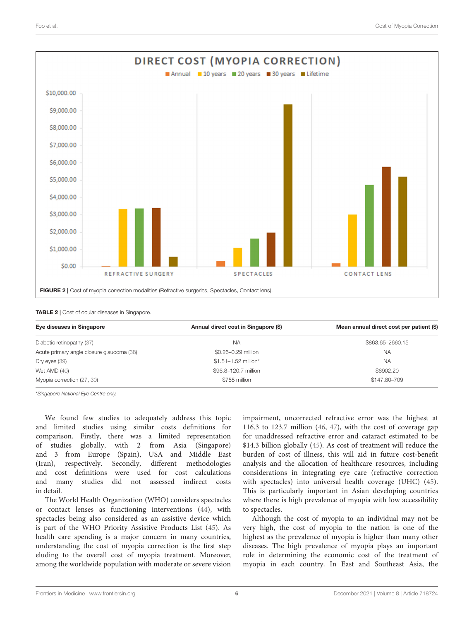

#### <span id="page-5-1"></span><span id="page-5-0"></span>TABLE 2 | Cost of ocular diseases in Singapore.

| Eye diseases in Singapore                 | Annual direct cost in Singapore (\$) | Mean annual direct cost per patient (\$) |  |  |
|-------------------------------------------|--------------------------------------|------------------------------------------|--|--|
| Diabetic retinopathy (37)                 | <b>NA</b>                            | \$863.65-2660.15                         |  |  |
| Acute primary angle closure glaucoma (38) | \$0.26-0.29 million                  | NA                                       |  |  |
| Dry eyes (39)                             | \$1.51-1.52 million*                 | <b>NA</b>                                |  |  |
| Wet AMD $(40)$                            | \$96.8-120.7 million                 | \$6902.20                                |  |  |
| Myopia correction (27, 30)                | \$755 million                        | \$147,80-709                             |  |  |

\*Singapore National Eye Centre only.

We found few studies to adequately address this topic and limited studies using similar costs definitions for comparison. Firstly, there was a limited representation of studies globally, with 2 from Asia (Singapore) and 3 from Europe (Spain), USA and Middle East (Iran), respectively. Secondly, different methodologies and cost definitions were used for cost calculations and many studies did not assessed indirect costs in detail.

The World Health Organization (WHO) considers spectacles or contact lenses as functioning interventions [\(44\)](#page-8-11), with spectacles being also considered as an assistive device which is part of the WHO Priority Assistive Products List [\(45\)](#page-8-12). As health care spending is a major concern in many countries, understanding the cost of myopia correction is the first step eluding to the overall cost of myopia treatment. Moreover, among the worldwide population with moderate or severe vision

impairment, uncorrected refractive error was the highest at 116.3 to 123.7 million [\(46,](#page-8-13) [47\)](#page-8-14), with the cost of coverage gap for unaddressed refractive error and cataract estimated to be \$14.3 billion globally [\(45\)](#page-8-12). As cost of treatment will reduce the burden of cost of illness, this will aid in future cost-benefit analysis and the allocation of healthcare resources, including considerations in integrating eye care (refractive correction with spectacles) into universal health coverage (UHC) [\(45\)](#page-8-12). This is particularly important in Asian developing countries where there is high prevalence of myopia with low accessibility to spectacles.

Although the cost of myopia to an individual may not be very high, the cost of myopia to the nation is one of the highest as the prevalence of myopia is higher than many other diseases. The high prevalence of myopia plays an important role in determining the economic cost of the treatment of myopia in each country. In East and Southeast Asia, the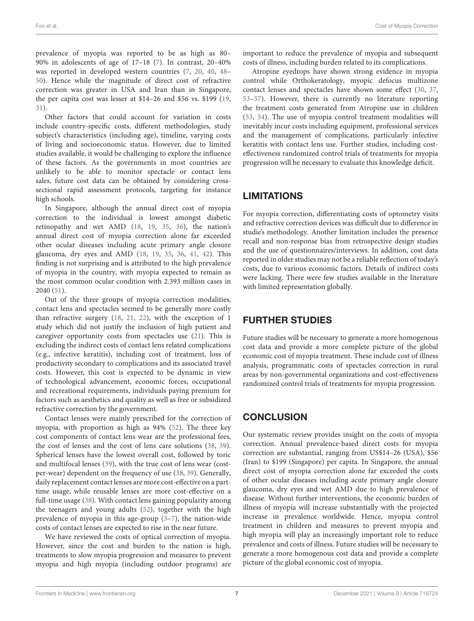prevalence of myopia was reported to be as high as 80– 90% in adolescents of age of 17–18 [\(7\)](#page-7-3). In contrast, 20–40% was reported in developed western countries [\(7,](#page-7-3) [20,](#page-7-28) [40,](#page-8-10) [48–](#page-8-15) [50\)](#page-8-16). Hence while the magnitude of direct cost of refractive correction was greater in USA and Iran than in Singapore, the per capita cost was lesser at \$14–26 and \$56 vs. \$199 [\(19,](#page-7-19) [31\)](#page-7-29).

Other factors that could account for variation in costs include country-specific costs, different methodologies, study subject's characteristics (including age), timeline, varying costs of living and socioeconomic status. However, due to limited studies available, it would be challenging to explore the influence of these factors. As the governments in most countries are unlikely to be able to monitor spectacle or contact lens sales, future cost data can be obtained by considering crosssectional rapid assessment protocols, targeting for instance high schools.

In Singapore, although the annual direct cost of myopia correction to the individual is lowest amongst diabetic retinopathy and wet AMD [\(18,](#page-7-10) [19,](#page-7-19) [35,](#page-8-2) [36\)](#page-8-3), the nation's annual direct cost of myopia correction alone far exceeded other ocular diseases including acute primary angle closure glaucoma, dry eyes and AMD [\(18,](#page-7-10) [19,](#page-7-19) [35,](#page-8-2) [36,](#page-8-3) [41,](#page-8-4) [42\)](#page-8-5). This finding is not surprising and is attributed to the high prevalence of myopia in the country, with myopia expected to remain as the most common ocular condition with 2.393 million cases in 2040 [\(51\)](#page-8-17).

Out of the three groups of myopia correction modalities, contact lens and spectacles seemed to be generally more costly than refractive surgery [\(18,](#page-7-10) [21,](#page-7-21) [22\)](#page-7-11), with the exception of 1 study which did not justify the inclusion of high patient and caregiver opportunity costs from spectacles use [\(21\)](#page-7-21). This is excluding the indirect costs of contact lens related complications (e.g., infective keratitis), including cost of treatment, loss of productivity secondary to complications and its associated travel costs. However, this cost is expected to be dynamic in view of technological advancement, economic forces, occupational and recreational requirements, individuals paying premium for factors such as aesthetics and quality as well as free or subsidized refractive correction by the government.

Contact lenses were mainly prescribed for the correction of myopia, with proportion as high as 94% [\(52\)](#page-8-18). The three key cost components of contact lens wear are the professional fees, the cost of lenses and the cost of lens care solutions [\(38,](#page-8-8) [39\)](#page-8-9). Spherical lenses have the lowest overall cost, followed by toric and multifocal lenses [\(39\)](#page-8-9), with the true cost of lens wear (costper-wear) dependent on the frequency of use [\(38,](#page-8-8) [39\)](#page-8-9). Generally, daily replacement contact lenses are more cost-effective on a parttime usage, while reusable lenses are more cost-effective on a full-time usage [\(38\)](#page-8-8). With contact lens gaining popularity among the teenagers and young adults [\(52\)](#page-8-18), together with the high prevalence of myopia in this age-group [\(3](#page-7-2)[–7\)](#page-7-3), the nation-wide costs of contact lenses are expected to rise in the near future.

We have reviewed the costs of optical correction of myopia. However, since the cost and burden to the nation is high, treatments to slow myopia progression and measures to prevent myopia and high myopia (including outdoor programs) are important to reduce the prevalence of myopia and subsequent costs of illness, including burden related to its complications.

Atropine eyedrops have shown strong evidence in myopia control while Orthokeratology, myopic defocus multizone contact lenses and spectacles have shown some effect [\(30,](#page-7-27) [37,](#page-8-7) [53](#page-8-19)[–57\)](#page-8-20). However, there is currently no literature reporting the treatment costs generated from Atropine use in children [\(53,](#page-8-19) [54\)](#page-8-21). The use of myopia control treatment modalities will inevitably incur costs including equipment, professional services and the management of complications, particularly infective keratitis with contact lens use. Further studies, including costeffectiveness randomized control trials of treatments for myopia progression will be necessary to evaluate this knowledge deficit.

# **LIMITATIONS**

For myopia correction, differentiating costs of optometry visits and refractive correction devices was difficult due to difference in studie's methodology. Another limitation includes the presence recall and non-response bias from retrospective design studies and the use of questionnaires/interviews. In addition, cost data reported in older studies may not be a reliable reflection of today's costs, due to various economic factors. Details of indirect costs were lacking. There were few studies available in the literature with limited representation globally.

# FURTHER STUDIES

Future studies will be necessary to generate a more homogenous cost data and provide a more complete picture of the global economic cost of myopia treatment. These include cost of illness analysis, programmatic costs of spectacles correction in rural areas by non-governmental organizations and cost-effectiveness randomized control trials of treatments for myopia progression.

# **CONCLUSION**

Our systematic review provides insight on the costs of myopia correction. Annual prevalence-based direct costs for myopia correction are substantial, ranging from US\$14–26 (USA), \$56 (Iran) to \$199 (Singapore) per capita. In Singapore, the annual direct cost of myopia correction alone far exceeded the costs of other ocular diseases including acute primary angle closure glaucoma, dry eyes and wet AMD due to high prevalence of disease. Without further interventions, the economic burden of illness of myopia will increase substantially with the projected increase in prevalence worldwide. Hence, myopia control treatment in children and measures to prevent myopia and high myopia will play an increasingly important role to reduce prevalence and costs of illness. Future studies will be necessary to generate a more homogenous cost data and provide a complete picture of the global economic cost of myopia.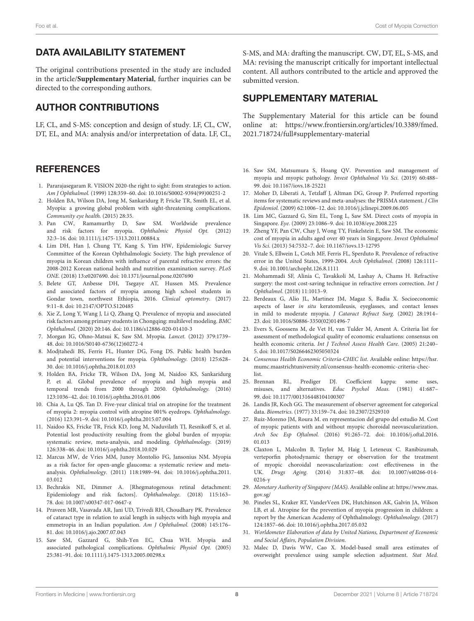## DATA AVAILABILITY STATEMENT

The original contributions presented in the study are included in the article/**[Supplementary Material](#page-7-30)**, further inquiries can be directed to the corresponding authors.

## AUTHOR CONTRIBUTIONS

LF, CL, and S-MS: conception and design of study. LF, CL, CW, DT, EL, and MA: analysis and/or interpretation of data. LF, CL,

#### **REFERENCES**

- <span id="page-7-0"></span>1. Pararajasegaram R. VISION 2020-the right to sight: from strategies to action. Am J Ophthalmol. (1999) 128:359–60. doi: [10.1016/S0002-9394\(99\)00251-2](https://doi.org/10.1016/S0002-9394(99)00251-2)
- <span id="page-7-1"></span>2. Holden BA, Wilson DA, Jong M, Sankaridurg P, Fricke TR, Smith EL, et al. Myopia: a growing global problem with sight-threatening complications. Community eye health. (2015) 28:35.
- <span id="page-7-2"></span>3. Pan CW, Ramamurthy D, Saw SM. Worldwide prevalence and risk factors for myopia. Ophthalmic Physiol Opt. (2012) 32:3–16. doi: [10.1111/j.1475-1313.2011.00884.x](https://doi.org/10.1111/j.1475-1313.2011.00884.x)
- <span id="page-7-26"></span><span id="page-7-24"></span><span id="page-7-23"></span>4. Lim DH, Han J, Chung TY, Kang S, Yim HW, Epidemiologic Survey Committee of the Korean Ophthalmologic Society. The high prevalence of myopia in Korean children with influence of parental refractive errors: the 2008-2012 Korean national health and nutrition examination survey. PLoS ONE. (2018) 13:e0207690. doi: [10.1371/journal.pone.0207690](https://doi.org/10.1371/journal.pone.0207690)
- 5. Belete GT, Anbesse DH, Tsegaye AT, Hussen MS. Prevalence and associated factors of myopia among high school students in Gondar town, northwest Ethiopia, 2016. Clinical optometry. (2017) 9:11–8. doi: [10.2147/OPTO.S120485](https://doi.org/10.2147/OPTO.S120485)
- 6. Xie Z, Long Y, Wang J, Li Q, Zhang Q. Prevalence of myopia and associated risk factors among primary students in Chongqing: multilevel modeling. BMC Ophthalmol. (2020) 20:146. doi: [10.1186/s12886-020-01410-3](https://doi.org/10.1186/s12886-020-01410-3)
- <span id="page-7-3"></span>7. Morgan IG, Ohno-Matsui K, Saw SM. Myopia. Lancet. (2012) 379:1739– 48. doi: [10.1016/S0140-6736\(12\)60272-4](https://doi.org/10.1016/S0140-6736(12)60272-4)
- <span id="page-7-4"></span>8. Modjtahedi BS, Ferris FL, Hunter DG, Fong DS. Public health burden and potential interventions for myopia. Ophthalmology. (2018) 125:628– 30. doi: [10.1016/j.ophtha.2018.01.033](https://doi.org/10.1016/j.ophtha.2018.01.033)
- 9. Holden BA, Fricke TR, Wilson DA, Jong M, Naidoo KS, Sankaridurg P, et al. Global prevalence of myopia and high myopia and temporal trends from 2000 through 2050. Ophthalmology. (2016) 123:1036–42. doi: [10.1016/j.ophtha.2016.01.006](https://doi.org/10.1016/j.ophtha.2016.01.006)
- <span id="page-7-5"></span>10. Chia A, Lu QS. Tan D. Five-year clinical trial on atropine for the treatment of myopia 2: myopia control with atropine 001% eyedrops. Ophthalmology. (2016) 123:391–9. doi: [10.1016/j.ophtha.2015.07.004](https://doi.org/10.1016/j.ophtha.2015.07.004)
- <span id="page-7-6"></span>11. Naidoo KS, Fricke TR, Frick KD, Jong M, Naduvilath TJ, Resnikoff S, et al. Potential lost productivity resulting from the global burden of myopia: systematic review, meta-analysis, and modeling. Ophthalmology. (2019) 126:338–46. doi: [10.1016/j.ophtha.2018.10.029](https://doi.org/10.1016/j.ophtha.2018.10.029)
- <span id="page-7-7"></span>12. Marcus MW, de Vries MM, Junoy Montolio FG, Jansonius NM. Myopia as a risk factor for open-angle glaucoma: a systematic review and metaanalysis. Ophthalmology. [\(2011\) 118:1989–94. doi: 10.1016/j.ophtha.2011.](https://doi.org/10.1016/j.ophtha.2011.03.012) 03.012
- 13. Bechrakis NE, Dimmer A. [Rhegmatogenous retinal detachment: Epidemiology and risk factors]. Ophthalmologe. (2018) 115:163– 78. doi: [10.1007/s00347-017-0647-z](https://doi.org/10.1007/s00347-017-0647-z)
- 14. Praveen MR, Vasavada AR, Jani UD, Trivedi RH, Choudhary PK. Prevalence of cataract type in relation to axial length in subjects with high myopia and emmetropia in an Indian population. Am J Ophthalmol. (2008) 145:176– 81. doi: [10.1016/j.ajo.2007.07.043](https://doi.org/10.1016/j.ajo.2007.07.043)
- 15. Saw SM, Gazzard G, Shih-Yen EC, Chua WH. Myopia and associated pathological complications. Ophthalmic Physiol Opt. (2005) 25:381–91. doi: [10.1111/j.1475-1313.2005.00298.x](https://doi.org/10.1111/j.1475-1313.2005.00298.x)

<span id="page-7-25"></span>S-MS, and MA: drafting the manuscript. CW, DT, EL, S-MS, and MA: revising the manuscript critically for important intellectual content. All authors contributed to the article and approved the submitted version.

#### SUPPLEMENTARY MATERIAL

<span id="page-7-30"></span>The Supplementary Material for this article can be found [online at: https://www.frontiersin.org/articles/10.3389/fmed.](https://www.frontiersin.org/articles/10.3389/fmed.2021.718724/full#supplementary-material) 2021.718724/full#supplementary-material

- <span id="page-7-8"></span>16. Saw SM, Matsumura S, Hoang QV. Prevention and management of myopia and myopic pathology. Invest Ophthalmol Vis Sci. (2019) 60:488– 99. doi: [10.1167/iovs.18-25221](https://doi.org/10.1167/iovs.18-25221)
- <span id="page-7-9"></span>17. Moher D, Liberati A, Tetzlaff J, Altman DG, Group P. Preferred reporting items for systematic reviews and meta-analyses: the PRISMA statement. J Clin Epidemiol. (2009) 62:1006–12. doi: [10.1016/j.jclinepi.2009.06.005](https://doi.org/10.1016/j.jclinepi.2009.06.005)
- <span id="page-7-10"></span>18. Lim MC, Gazzard G, Sim EL, Tong L, Saw SM. Direct costs of myopia in Singapore. Eye. (2009) 23:1086–9. doi: [10.1038/eye.2008.225](https://doi.org/10.1038/eye.2008.225)
- <span id="page-7-19"></span>19. Zheng YF, Pan CW, Chay J, Wong TY, Finkelstein E, Saw SM. The economic cost of myopia in adults aged over 40 years in Singapore. Invest Ophthalmol Vis Sci. (2013) 54:7532–7. doi: [10.1167/iovs.13-12795](https://doi.org/10.1167/iovs.13-12795)
- <span id="page-7-28"></span><span id="page-7-22"></span>20. Vitale S, Ellwein L, Cotch MF, Ferris FL, Sperduto R. Prevalence of refractive error in the United States, 1999-2004. Arch Ophthalmol. (2008) 126:1111– 9. doi: [10.1001/archopht.126.8.1111](https://doi.org/10.1001/archopht.126.8.1111)
- <span id="page-7-21"></span>21. Mohammadi SF, Alinia C, Tavakkoli M, Lashay A, Chams H. Refractive surgery: the most cost-saving technique in refractive errors correction. Int J Ophthalmol. (2018) 11:1013–9.
- <span id="page-7-11"></span>22. Berdeaux G, Alio JL, Martinez JM, Magaz S, Badia X. Socioeconomic aspects of laser in situ keratomileusis, eyeglasses, and contact lenses in mild to moderate myopia. J Cataract Refract Surg. (2002) 28:1914– 23. doi: [10.1016/S0886-3350\(02\)01496-7](https://doi.org/10.1016/S0886-3350(02)01496-7)
- <span id="page-7-12"></span>23. Evers S, Goossens M, de Vet H, van Tulder M, Ament A. Criteria list for assessment of methodological quality of economic evaluations: consensus on health economic criteria. Int J Technol Assess Health Care. (2005) 21:240– 5. doi: [10.1017/S0266462305050324](https://doi.org/10.1017/S0266462305050324)
- <span id="page-7-13"></span>24. Consensus Health Economic Criteria-CHEC list. Available online: [https://hsr.](https://hsr.mumc.maastrichtuniversity.nl/consensus-health-economic-criteria-chec-list) [mumc.maastrichtuniversity.nl/consensus-health-economic-criteria-chec](https://hsr.mumc.maastrichtuniversity.nl/consensus-health-economic-criteria-chec-list)[list.](https://hsr.mumc.maastrichtuniversity.nl/consensus-health-economic-criteria-chec-list)
- <span id="page-7-14"></span>25. Brennan RL, Prediger DJ. Coefficient kappa: some uses, misuses, and alternatives. Educ Psychol Meas. (1981) 41:687– 99. doi: [10.1177/001316448104100307](https://doi.org/10.1177/001316448104100307)
- <span id="page-7-15"></span>26. Landis JR, Koch GG. The measurement of observer agreement for categorical data. Biometrics. (1977) 33:159–74. doi: [10.2307/2529310](https://doi.org/10.2307/2529310)
- <span id="page-7-16"></span>27. Ruiz-Moreno JM, Roura M. en representacion del grupo del estudio M. Cost of myopic patients with and without myopic choroidal neovascularization. Arch Soc Esp Oftalmol. [\(2016\) 91:265–72. doi: 10.1016/j.oftal.2016.](https://doi.org/10.1016/j.oftal.2016.01.013) 01.013
- <span id="page-7-17"></span>28. Claxton L, Malcolm B, Taylor M, Haig J, Leteneux C. Ranibizumab, verteporfin photodynamic therapy or observation for the treatment of myopic choroidal neovascularization: cost effectiveness in the UK. Drugs Aging. [\(2014\) 31:837–48. doi: 10.1007/s40266-014-](https://doi.org/10.1007/s40266-014-0216-y) 0216-y
- <span id="page-7-18"></span>29. Monetary Authority of Singapore (MAS). Available online at: [https://www.mas.](https://www.mas.gov.sg/) [gov.sg/](https://www.mas.gov.sg/)
- <span id="page-7-27"></span>30. Pineles SL, Kraker RT, VanderVeen DK, Hutchinson AK, Galvin JA, Wilson LB, et al. Atropine for the prevention of myopia progression in children: a report by the American Academy of Ophthalmology. Ophthalmology. (2017) 124:1857–66. doi: [10.1016/j.ophtha.2017.05.032](https://doi.org/10.1016/j.ophtha.2017.05.032)
- <span id="page-7-29"></span>31. Worldometer Elaboration of data by United Nations, Department of Economic and Social Affairs, Population Division.
- <span id="page-7-20"></span>32. Malec D, Davis WW, Cao X. Model-based small area estimates of overweight prevalence using sample selection adjustment. Stat Med.